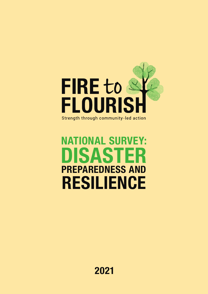

### NATIONAL SURVEY: DISASTER PREPAREDNESS AND RESILIENCE

2021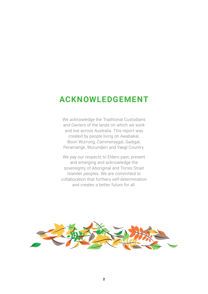### **ACKNOWLEDGEMENT**

We acknowledge the Traditional Custodians and Owners of the lands on which we work and live across Australia. This report was created by people living on Awabakal, Boon Wurrung, Cammeraygal, Gadigal, Peramangk, Wurundjeri and Yaegl Country.

We pay our respects to Elders past, present and emerging and acknowledge the sovereignty of Aboriginal and Torres Strait Islander peoples. We are committed to collaboration that furthers self-determination and creates a better future for all.

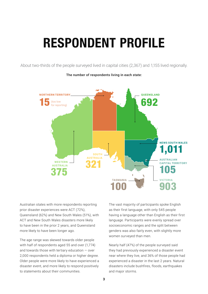### RESPONDENT PROFILE

About two-thirds of the people surveyed lived in capital cities (2,367) and 1,155 lived regionally.



The number of respondents living in each state:

Australian states with more respondents reporting prior disaster experiences were ACT (72%), Queensland (62%) and New South Wales (51%), with ACT and New South Wales disasters more likely to have been in the prior 2 years, and Queensland more likely to have been longer ago.

The age range was skewed towards older people with half of respondents aged 55 and over (1,774) and towards those with tertiary education — over 2,000 respondents held a diploma or higher degree. Older people were more likely to have experienced a disaster event, and more likely to respond positively to statements about their communities.

The vast majority of participants spoke English as their first language, with only 545 people having a language other than English as their first language. Participants were evenly spread over socioeconomic ranges and the split between genders was also fairly even, with slightly more women surveyed than men.

Nearly half (47%) of the people surveyed said they had previously experienced a disaster event near where they live, and 36% of those people had experienced a disaster in the last 2 years. Natural disasters include bushfires, floods, earthquakes and major storms.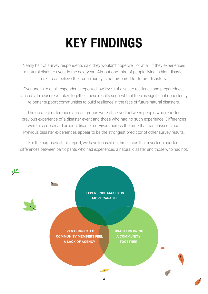# KEY FINDINGS

Nearly half of survey respondents said they wouldn't cope well, or at all, if they experienced a natural disaster event in the next year. Almost one-third of people living in high disaster risk areas believe their community is not prepared for future disasters.

Over one third of all respondents reported low levels of disaster resilience and preparedness (across all measures). Taken together, these results suggest that there is significant opportunity to better support communities to build resilience in the face of future natural disasters.

The greatest differences across groups were observed between people who reported previous experience of a disaster event and those who had no such experience. Differences were also observed among disaster survivors across the time that has passed since. Previous disaster experiences appear to be the strongest predictor of other survey results.

For the purposes of this report, we have focused on three areas that revealed important differences between participants who had experienced a natural disaster and those who had not.

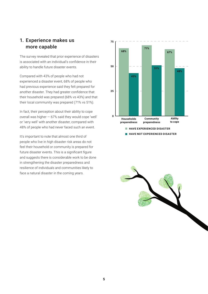### 1. Experience makes us more capable

The survey revealed that prior experience of disasters is associated with an individual's confidence in their ability to handle future disaster events.

Compared with 43% of people who had not experienced a disaster event, 68% of people who had previous experience said they felt prepared for another disaster. They had greater confidence that their household was prepared (68% vs 43%) and that their local community was prepared (71% vs 51%).

In fact, their perception about their ability to cope overall was higher  $-67%$  said they would cope 'well' or 'very well' with another disaster, compared with 48% of people who had never faced such an event.

It's important to note that almost one third of people who live in high disaster risk areas do not feel their household or community is prepared for future disaster events. This is a significant figure and suggests there is considerable work to be done in strengthening the disaster preparedness and resilience of individuals and communities likely to face a natural disaster in the coming years.



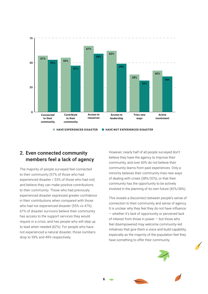

### 2. Even connected community members feel a lack of agency

The majority of people surveyed feel connected to their community (57% of those who had experienced disaster / 53% of those who had not) and believe they can make positive contributions to their community. Those who had previously experienced disaster expressed greater confidence in their contributions when compared with those who had not experienced disaster (55% vs 47%). 67% of disaster survivors believe their community has access to the support services they would require in a crisis, and has people who will step up to lead when needed (62%). For people who have not experienced a natural disaster, those numbers drop to 59% and 49% respectively.

However, nearly half of all people surveyed don't believe they have the agency to improve their community, and over 60% do not believe their community learns from past experiences. Only a minority believes their community tries new ways of dealing with crises (38%/32%), or that their community has the opportunity to be actively involved in the planning of its own future (42%/36%).

This reveals a disconnect between people's sense of connection to their community and sense of agency. It is unclear why they feel they do not have influence — whether it's lack of opportunity or perceived lack of interest from those in power — but those who feel disempowered may welcome community-led initiatives that give them a voice and build capability, especially as the majority of the population feel they have something to offer their community.





**6**

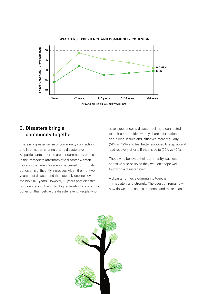

#### 3. Disasters bring a community together

There is a greater sense of community connection and information sharing after a disaster event. All participants reported greater community cohesion in the immediate aftermath of a disaster, women more so than men. Women's perceived community cohesion significantly increases within the first two years post disaster and then steadily declines over the next 10+ years. However, 10 years post disaster, both genders still reported higher levels of community cohesion than before the disaster event. People who

have experienced a disaster feel more connected to their communities — they share information about local issues and initiatives more regularly (61% vs 49%) and feel better equipped to step up and lead recovery efforts if they need to (62% vs 49%).

Those who believed their community was less cohesive also believed they wouldn't cope well following a disaster event.

A disaster brings a community together immediately and strongly. The question remains how do we harness this response and make it last?

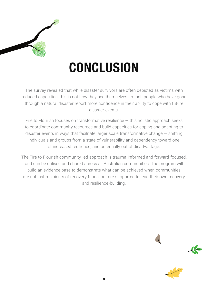

### **CONCLUSION**

The survey revealed that while disaster survivors are often depicted as victims with reduced capacities, this is not how they see themselves. In fact, people who have gone through a natural disaster report more confidence in their ability to cope with future disaster events.

Fire to Flourish focuses on transformative resilience — this holistic approach seeks to coordinate community resources and build capacities for coping and adapting to disaster events in ways that facilitate larger scale transformative change  $-$  shifting individuals and groups from a state of vulnerability and dependency toward one of increased resilience, and potentially out of disadvantage.

The Fire to Flourish community-led approach is trauma-informed and forward-focused, and can be utilised and shared across all Australian communities. The program will build an evidence base to demonstrate what can be achieved when communities are not just recipients of recovery funds, but are supported to lead their own recovery and resilience-building.



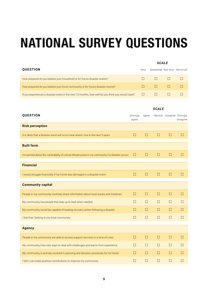## NATIONAL SURVEY QUESTIONS

#### *SCALE*

| <b>QUESTION</b>                                                                                  | Verv | Somewhat Not very Not at all |  |
|--------------------------------------------------------------------------------------------------|------|------------------------------|--|
| How prepared do you believe your household is for future disaster events?                        |      |                              |  |
| How prepared do you believe your local community is for future disaster events?                  |      | $\Box$                       |  |
| If you experienced a disaster event in the next 12 months, how well do you think you would cope? |      |                              |  |

| <b>QUESTION</b>                                                                                     | Strongly<br>agree | Agree  |        | Neutral Disagree Strongly | disagree |
|-----------------------------------------------------------------------------------------------------|-------------------|--------|--------|---------------------------|----------|
| <b>Risk perception</b>                                                                              |                   |        |        |                           |          |
| It is likely that a disaster event will occur near where I live in the next 5 years                 | $\Box$            | $\Box$ | $\Box$ | $\Box$                    | $\Box$   |
| <b>Built form</b>                                                                                   |                   |        |        |                           |          |
| I'm worried about the vulnerability of critical infrastructure in my community if a disaster occurs | $\Box$            | □      | $\Box$ | $\Box$                    | □        |
| <b>Financial</b>                                                                                    |                   |        |        |                           |          |
| I would struggle financially if my home was damaged in a disaster event                             | $\Box$            | $\Box$ | $\Box$ | П                         | Ш        |
| <b>Community capital</b>                                                                            |                   |        |        |                           |          |
| People in my community routinely share information about local issues and initiatives               | $\Box$            | $\Box$ | $\Box$ | $\Box$                    | $\Box$   |
| My community has people that step up to lead when needed                                            | $\Box$            | □      | П      | П                         | П        |
| My community would be capable of leading recovery action following a disaster                       | □                 | □      | $\Box$ | □                         | П        |
| I feel that I belong to my local community                                                          | $\Box$            | □      | П      | □                         | П        |
| <b>Agency</b>                                                                                       |                   |        |        |                           |          |
| People in my community are able to access support services in a time of crisis                      | $\Box$            | □      | $\Box$ | □                         | П        |
| My community tries new ways to deal with challenges and learns from experience                      | $\Box$            | $\Box$ | □      | П                         | П        |
| My community is actively involved in planning and decision processes for its future                 | $\Box$            | $\Box$ | $\Box$ | $\Box$                    | □        |
| I feel I can make positive contributions to improve my community                                    | □                 | П      | П      | П                         | П        |

#### *SCALE*